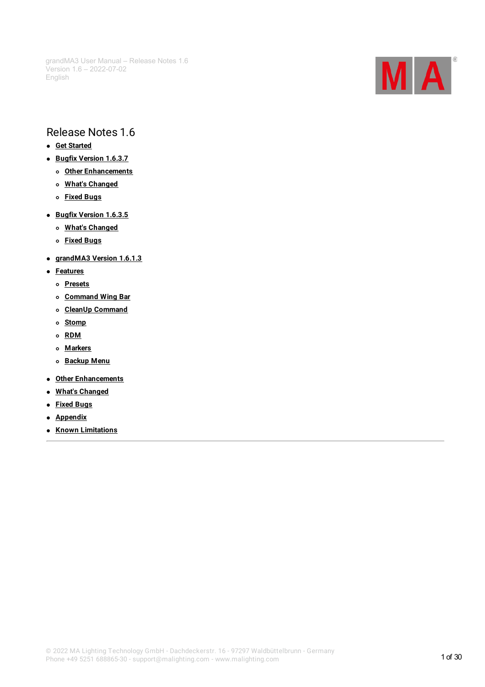

# Release Notes 1.6

- **Get [Started](#page-1-0)**
- **Bugfix [Version](#page-2-0) 1.6.3.7**
	- **Other [Enhancements](#page-2-1)**
	- **What's [Changed](#page-2-2)**
	- **[Fixed](#page-2-3) Bugs**
- **Bugfix [Version](#page-4-0) 1.6.3.5**
	- **What's [Changed](#page-4-1)**
	- **[Fixed](#page-4-2) Bugs**
- **[grandMA3](#page-9-0) Version 1.6.1.3**
- **[Features](#page-9-1)**
	- **[Presets](#page-9-2)**
	- **[Command](#page-12-0) Wing Bar**
	- **CleanUp [Command](#page-12-1)**
	- **[Stomp](#page-13-0)**
	- **[RDM](#page-13-1)**
	- **[Markers](#page-15-0)**
	- **[Backup](#page-17-0) Menu**
- **Other [Enhancements](#page-18-0)**
- **What's [Changed](#page-21-0)**
- **[Fixed](#page-22-0) Bugs**
- **[Appendix](#page-28-0)**
- **Known [Limitations](#page-29-0)**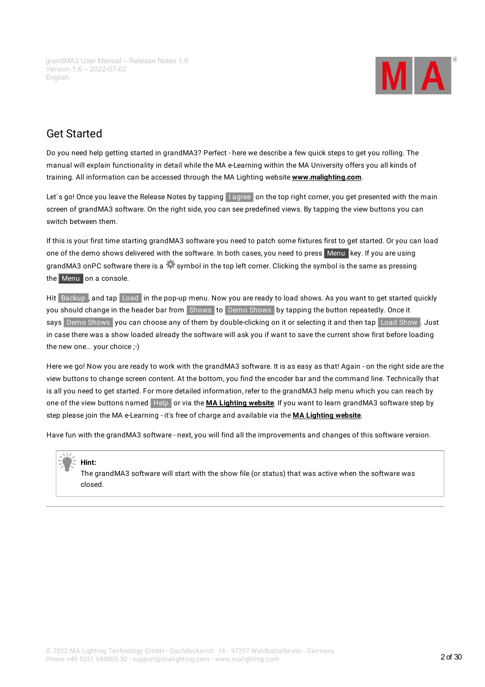

# <span id="page-1-0"></span>Get Started

Do you need help getting started in grandMA3? Perfect - here we describe a few quick steps to get you rolling. The manual will explain functionality in detail while the MA e-Learning within the MA University offers you all kinds of training. All information can be accessed through the MA Lighting website **[www.malighting.com](http://www.malighting.com)**.

Let's go! Once you leave the Release Notes by tapping | agree on the top right corner, you get presented with the main screen of grandMA3 software. On the right side, you can see predefined views. By tapping the view buttons you can switch between them.

If this is your first time starting grandMA3 software you need to patch some fixtures first to get started. Or you can load one of the demo shows delivered with the software. In both cases, you need to press Menu key. If you are using grandMA3 onPC software there is a symbol in the top left corner. Clicking the symbol is the same as pressing the Menu on a console.

Hit Backup , and tap Load in the pop-up menu. Now you are ready to load shows. As you want to get started quickly you should change in the header bar from Shows to Demo Shows by tapping the button repeatedly. Once it says Demo Shows you can choose any of them by double-clicking on it or selecting it and then tap Load Show . Just in case there was a show loaded already the software will ask you if want to save the current show first before loading the new one... your choice ;-)

Here we go! Now you are ready to work with the grandMA3 software. It is as easy as that! Again - on the right side are the view buttons to change screen content. At the bottom,you find the encoder bar and the command line. Technically that is all you need to get started. For more detailed information, refer to the grandMA3 help menu which you can reach by one of the view buttons named Help or via the **MA [Lighting](http://www.malighting.com) website**. If you want to learn grandMA3 software step by step please join the MA e-Learning - it's free of charge and available via the **MA [Lighting](http://www.malighting.com) website**.

Have fun with the grandMA3 software - next,you will find all the improvements and changes of this software version.

#### **Hint:**

The grandMA3 software will start with the show file (or status) that was active when the software was closed.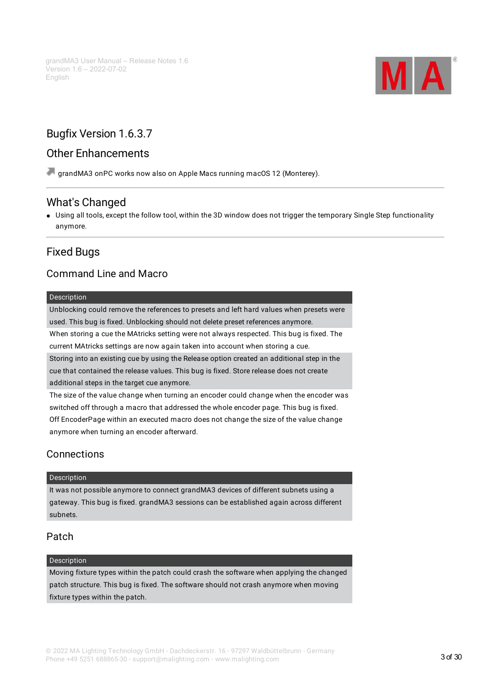

# <span id="page-2-0"></span>Bugfix Version 1.6.3.7

# <span id="page-2-1"></span>Other Enhancements

grandMA3 onPC works now also on Apple Macs running macOS 12 (Monterey).

# <span id="page-2-2"></span>What's Changed

Using all tools, except the follow tool, within the 3D window does not trigger the temporary Single Step functionality anymore.

# <span id="page-2-3"></span>Fixed Bugs

# Command Line and Macro

#### Description

Unblocking could remove the references to presets and left hard values when presets were used. This bug is fixed. Unblocking should not delete preset references anymore.

When storing a cue the MAtricks setting were not always respected. This bug is fixed. The current MAtricks settings are now again taken into account when storing a cue. Storing into an existing cue by using the Release option created an additional step in the cue that contained the release values. This bug is fixed. Store release does not create additional steps in the target cue anymore.

The size of the value change when turning an encoder could change when the encoder was switched off through a macro that addressed the whole encoder page. This bug is fixed. Off EncoderPage within an executed macro does not change the size of the value change anymore when turning an encoder afterward.

# Connections

#### Description

It was not possible anymore to connect grandMA3 devices of different subnets using a gateway. This bug is fixed. grandMA3 sessions can be established again across different subnets.

### Patch

#### **Description**

Moving fixture types within the patch could crash the software when applying the changed patch structure. This bug is fixed. The software should not crash anymore when moving fixture types within the patch.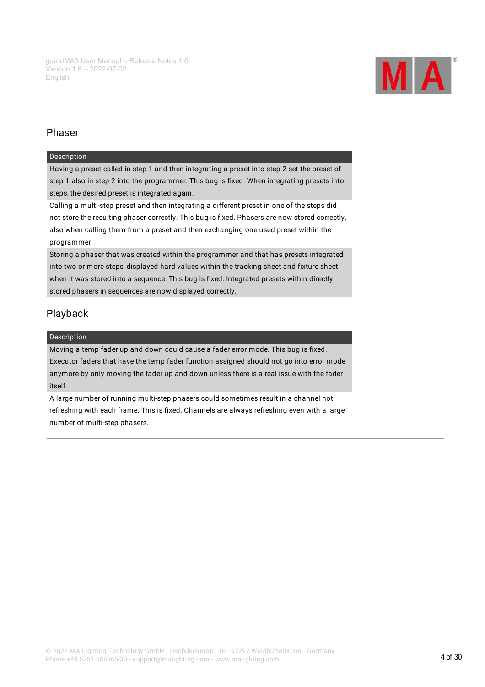

# Phaser

#### Description

Having a preset called in step 1 and then integrating a preset into step 2 set the preset of step 1 also in step 2 into the programmer. This bug is fixed. When integrating presets into steps, the desired preset is integrated again.

Calling a multi-step preset and then integrating a different preset in one of the steps did not store the resulting phaser correctly. This bug is fixed. Phasers are now stored correctly, also when calling them from a preset and then exchanging one used preset within the programmer.

Storing a phaser that was created within the programmer and that has presets integrated into two or more steps, displayed hard values within the tracking sheet and fixture sheet when it was stored into a sequence. This bug is fixed. Integrated presets within directly stored phasers in sequences are now displayed correctly.

# Playback

#### Description

Moving a temp fader up and down could cause a fader error mode. This bug is fixed. Executor faders that have the temp fader function assigned should not go into error mode anymore by only moving the fader up and down unless there is a real issue with the fader itself.

A large number of running multi-step phasers could sometimes result in a channel not refreshing with each frame. This is fixed. Channels are always refreshing even with a large number of multi-step phasers.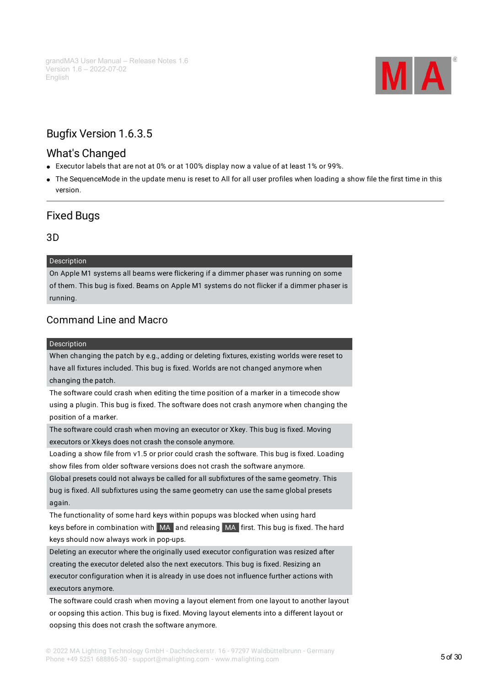

# <span id="page-4-0"></span>Bugfix Version 1.6.3.5

# <span id="page-4-1"></span>What's Changed

- Executor labels that are not at 0% or at 100% display now a value of at least 1% or 99%.
- The SequenceMode in the update menu is reset to All for all user profiles when loading a show file the first time in this version.

# <span id="page-4-2"></span>Fixed Bugs

### 3D

#### Description

On Apple M1 systems all beams were flickering if a dimmer phaser was running on some of them. This bug is fixed. Beams on Apple M1 systems do not flicker if a dimmer phaser is running.

# Command Line and Macro

#### Description

When changing the patch by e.g., adding or deleting fixtures, existing worlds were reset to have all fixtures included. This bug is fixed. Worlds are not changed anymore when changing the patch.

The software could crash when editing the time position of a marker in a timecode show using a plugin. This bug is fixed. The software does not crash anymore when changing the position of a marker.

The software could crash when moving an executor or Xkey. This bug is fixed. Moving executors or Xkeys does not crash the console anymore.

Loading a show file from v1.5 or prior could crash the software. This bug is fixed. Loading show files from older software versions does not crash the software anymore.

Global presets could not always be called for all subfixtures of the same geometry. This bug is fixed. All subfixtures using the same geometry can use the same global presets again.

The functionality of some hard keys within popups was blocked when using hard keys before in combination with MA and releasing MA first. This bug is fixed. The hard keys should now always work in pop-ups.

Deleting an executor where the originally used executor configuration was resized after creating the executor deleted also the next executors. This bug is fixed. Resizing an executor configuration when it is already in use does not influence further actions with executors anymore.

The software could crash when moving a layout element from one layout to another layout or oopsing this action. This bug is fixed. Moving layout elements into a different layout or oopsing this does not crash the software anymore.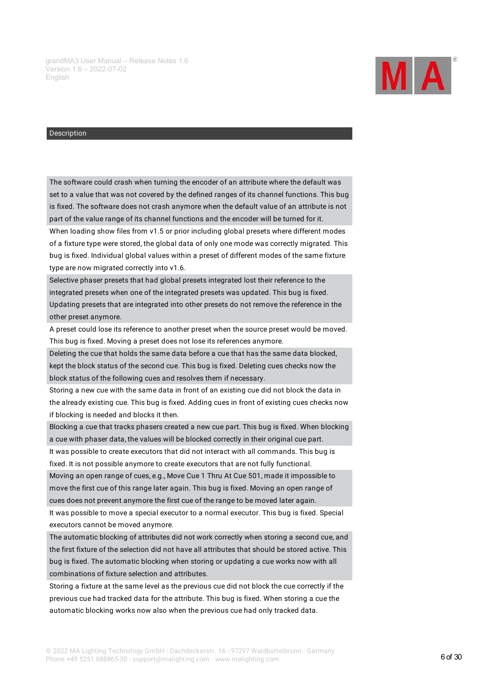

The software could crash when turning the encoder of an attribute where the default was set to a value that was not covered by the defined ranges of its channel functions. This bug is fixed. The software does not crash anymore when the default value of an attribute is not part of the value range of its channel functions and the encoder will be turned for it. When loading show files from v1.5 or prior including global presets where different modes

of a fixture type were stored, the global data of only one mode was correctly migrated. This bug is fixed. Individual global values within a preset of different modes of the same fixture type are now migrated correctly into v1.6.

Selective phaser presets that had global presets integrated lost their reference to the integrated presets when one of the integrated presets was updated. This bug is fixed. Updating presets that are integrated into other presets do not remove the reference in the other preset anymore.

A preset could lose its reference to another preset when the source preset would be moved. This bug is fixed. Moving a preset does not lose its references anymore.

Deleting the cue that holds the same data before a cue that has the same data blocked, kept the block status of the second cue. This bug is fixed. Deleting cues checks now the block status of the following cues and resolves them if necessary.

Storing a new cue with the same data in front of an existing cue did not block the data in the already existing cue. This bug is fixed. Adding cues in front of existing cues checks now if blocking is needed and blocks it then.

Blocking a cue that tracks phasers created a new cue part. This bug is fixed. When blocking a cue with phaser data, the values will be blocked correctly in their original cue part.

It was possible to create executors that did not interact with all commands. This bug is fixed. It is not possible anymore to create executors that are not fully functional.

Moving an open range of cues, e.g., Move Cue 1 Thru At Cue 501, made it impossible to move the first cue of this range later again. This bug is fixed. Moving an open range of cues does not prevent anymore the first cue of the range to be moved later again.

It was possible to move a special executor to a normal executor. This bug is fixed. Special executors cannot be moved anymore.

The automatic blocking of attributes did not work correctly when storing a second cue, and the first fixture of the selection did not have all attributes that should be stored active. This bug is fixed. The automatic blocking when storing or updating a cue works now with all combinations of fixture selection and attributes.

Storing a fixture at the same level as the previous cue did not block the cue correctly if the previous cue had tracked data for the attribute. This bug is fixed. When storing a cue the automatic blocking works now also when the previous cue had only tracked data.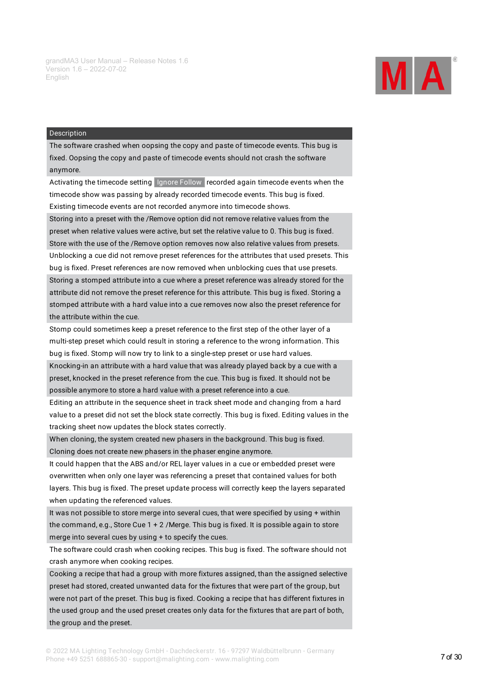

The software crashed when oopsing the copy and paste of timecode events. This bug is fixed. Oopsing the copy and paste of timecode events should not crash the software anymore.

Activating the timecode setting Ignore Follow recorded again timecode events when the timecode show was passing by already recorded timecode events. This bug is fixed. Existing timecode events are not recorded anymore into timecode shows.

Storing into a preset with the /Remove option did not remove relative values from the preset when relative values were active, but set the relative value to 0. This bug is fixed. Store with the use of the /Remove option removes now also relative values from presets. Unblocking a cue did not remove preset references for the attributes that used presets. This bug is fixed. Preset references are now removed when unblocking cues that use presets. Storing a stomped attribute into a cue where a preset reference was already stored for the attribute did not remove the preset reference for this attribute. This bug is fixed. Storing a stomped attribute with a hard value into a cue removes now also the preset reference for the attribute within the cue.

Stomp could sometimes keep a preset reference to the first step of the other layer of a multi-step preset which could result in storing a reference to the wrong information. This bug is fixed. Stomp will now try to link to a single-step preset or use hard values.

Knocking-in an attribute with a hard value that was already played back by a cue with a preset, knocked in the preset reference from the cue. This bug is fixed. It should not be possible anymore to store a hard value with a preset reference into a cue.

Editing an attribute in the sequence sheet in track sheet mode and changing from a hard value to a preset did not set the block state correctly. This bug is fixed. Editing values in the tracking sheet now updates the block states correctly.

When cloning, the system created new phasers in the background. This bug is fixed. Cloning does not create new phasers in the phaser engine anymore.

It could happen that the ABS and/or REL layer values in a cue or embedded preset were overwritten when only one layer was referencing a preset that contained values for both layers. This bug is fixed. The preset update process will correctly keep the layers separated when updating the referenced values.

It was not possible to store merge into several cues, that were specified by using + within the command, e.g., Store Cue 1 + 2 /Merge. This bug is fixed. It is possible again to store merge into several cues by using + to specify the cues.

The software could crash when cooking recipes. This bug is fixed. The software should not crash anymore when cooking recipes.

Cooking a recipe that had a group with more fixtures assigned, than the assigned selective preset had stored, created unwanted data for the fixtures that were part of the group, but were not part of the preset. This bug is fixed. Cooking a recipe that has different fixtures in the used group and the used preset creates only data for the fixtures that are part of both, the group and the preset.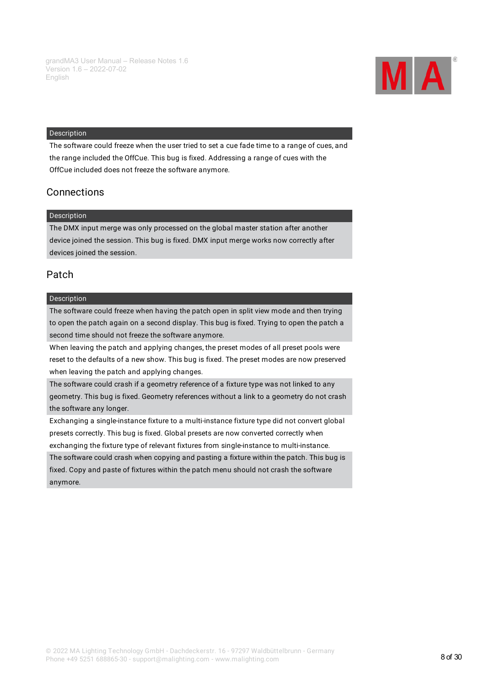

The software could freeze when the user tried to set a cue fade time to a range of cues, and the range included the OffCue. This bug is fixed. Addressing a range of cues with the OffCue included does not freeze the software anymore.

### **Connections**

#### Description

The DMX input merge was only processed on the global master station after another device joined the session. This bug is fixed. DMX input merge works now correctly after devices joined the session.

### Patch

#### Description

The software could freeze when having the patch open in split view mode and then trying to open the patch again on a second display. This bug is fixed. Trying to open the patch a second time should not freeze the software anymore.

When leaving the patch and applying changes, the preset modes of all preset pools were reset to the defaults of a new show. This bug is fixed. The preset modes are now preserved when leaving the patch and applying changes.

The software could crash if a geometry reference of a fixture type was not linked to any geometry. This bug is fixed. Geometry references without a link to a geometry do not crash the software any longer.

Exchanging a single-instance fixture to a multi-instance fixture type did not convert global presets correctly. This bug is fixed. Global presets are now converted correctly when exchanging the fixture type of relevant fixtures from single-instance to multi-instance.

The software could crash when copying and pasting a fixture within the patch. This bug is fixed. Copy and paste of fixtures within the patch menu should not crash the software anymore.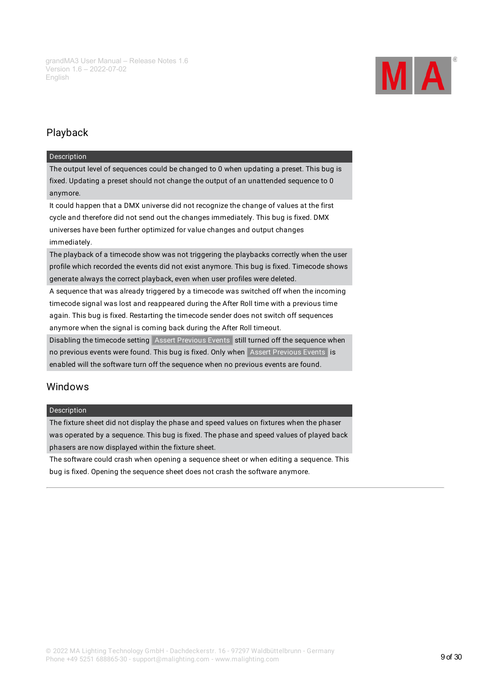

# Playback

#### Description

The output level of sequences could be changed to 0 when updating a preset. This bug is fixed. Updating a preset should not change the output of an unattended sequence to 0 anymore.

It could happen that a DMX universe did not recognize the change of values at the first cycle and therefore did not send out the changes immediately. This bug is fixed. DMX universes have been further optimized for value changes and output changes immediately.

The playback of a timecode show was not triggering the playbacks correctly when the user profile which recorded the events did not exist anymore. This bug is fixed. Timecode shows generate always the correct playback, even when user profiles were deleted.

A sequence that was already triggered by a timecode was switched off when the incoming timecode signal was lost and reappeared during the After Roll time with a previous time again. This bug is fixed. Restarting the timecode sender does not switch off sequences anymore when the signal is coming back during the After Roll timeout.

Disabling the timecode setting Assert Previous Events still turned off the sequence when no previous events were found. This bug is fixed. Only when Assert Previous Events is enabled will the software turn off the sequence when no previous events are found.

### Windows

#### Description

The fixture sheet did not display the phase and speed values on fixtures when the phaser was operated by a sequence. This bug is fixed. The phase and speed values of played back phasers are now displayed within the fixture sheet.

The software could crash when opening a sequence sheet or when editing a sequence. This bug is fixed. Opening the sequence sheet does not crash the software anymore.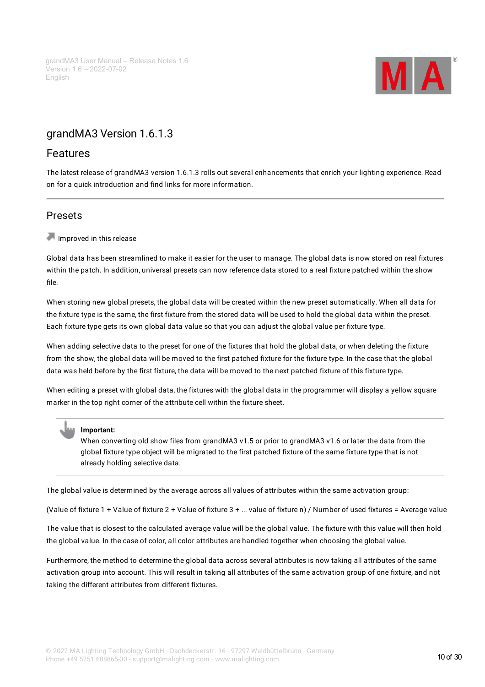

# <span id="page-9-0"></span>grandMA3 Version 1.6.1.3

## <span id="page-9-1"></span>Features

The latest release of grandMA3 version 1.6.1.3 rolls out several enhancements that enrich your lighting experience. Read on for a quick introduction and find links for more information.

# <span id="page-9-2"></span>Presets

Improved in this release

Global data has been streamlined to make it easier for the user to manage. The global data is now stored on real fixtures within the patch. In addition, universal presets can now reference data stored to a real fixture patched within the show file.

When storing new global presets, the global data will be created within the new preset automatically. When all data for the fixture type is the same, the first fixture from the stored data will be used to hold the global data within the preset. Each fixture type gets its own global data value so that you can adjust the global value per fixture type.

When adding selective data to the preset for one of the fixtures that hold the global data, or when deleting the fixture from the show, the global data will be moved to the first patched fixture for the fixture type. In the case that the global data was held before by the first fixture, the data will be moved to the next patched fixture of this fixture type.

When editing a preset with global data, the fixtures with the global data in the programmer will display a yellow square marker in the top right corner of the attribute cell within the fixture sheet.

#### **Important:**

When converting old show files from grandMA3 v1.5 or prior to grandMA3 v1.6 or later the data from the global fixture type object will be migrated to the first patched fixture of the same fixture type that is not already holding selective data.

The global value is determined by the average across all values of attributes within the same activation group:

(Value of fixture 1 + Value of fixture 2 + Value of fixture 3 + ... value of fixture n) / Number of used fixtures = Average value

The value that is closest to the calculated average value will be the global value. The fixture with this value will then hold the global value. In the case of color, all color attributes are handled together when choosing the global value.

Furthermore, the method to determine the global data across several attributes is now taking all attributes of the same activation group into account. This will result in taking all attributes of the same activation group of one fixture, and not taking the different attributes from different fixtures.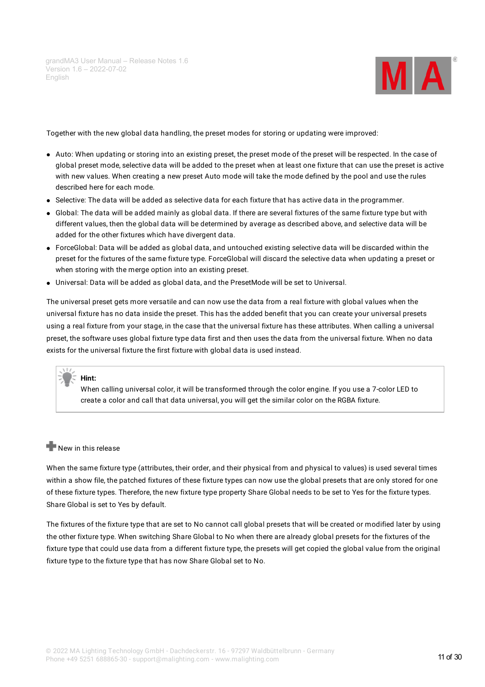

Together with the new global data handling, the preset modes for storing or updating were improved:

- Auto: When updating or storing into an existing preset, the preset mode of the preset will be respected. In the case of global preset mode, selective data will be added to the preset when at least one fixture that can use the preset is active with new values. When creating a new preset Auto mode will take the mode defined by the pool and use the rules described here for each mode.
- Selective: The data will be added as selective data for each fixture that has active data in the programmer.
- Global: The data will be added mainly as global data. If there are several fixtures of the same fixture type but with different values, then the global data will be determined by average as described above, and selective data will be added for the other fixtures which have divergent data.
- ForceGlobal: Data will be added as global data, and untouched existing selective data will be discarded within the preset for the fixtures of the same fixture type. ForceGlobal will discard the selective data when updating a preset or when storing with the merge option into an existing preset.
- Universal: Data will be added as global data, and the PresetMode will be set to Universal.

The universal preset gets more versatile and can now use the data from a real fixture with global values when the universal fixture has no data inside the preset. This has the added benefit that you can create your universal presets using a real fixture from your stage, in the case that the universal fixture has these attributes. When calling a universal preset, the software uses global fixture type data first and then uses the data from the universal fixture. When no data exists for the universal fixture the first fixture with global data is used instead.

#### **Hint:**

When calling universal color, it will be transformed through the color engine. If you use a 7-color LED to create a color and call that data universal,you will get the similar color on the RGBA fixture.

#### $\blacksquare$  New in this release

When the same fixture type (attributes, their order, and their physical from and physical to values) is used several times within a show file, the patched fixtures of these fixture types can now use the global presets that are only stored for one of these fixture types. Therefore, the new fixture type property Share Global needs to be set to Yes for the fixture types. Share Global is set to Yes by default.

The fixtures of the fixture type that are set to No cannot call global presets that will be created or modified later by using the other fixture type. When switching Share Global to No when there are already global presets for the fixtures of the fixture type that could use data from a different fixture type, the presets will get copied the global value from the original fixture type to the fixture type that has now Share Global set to No.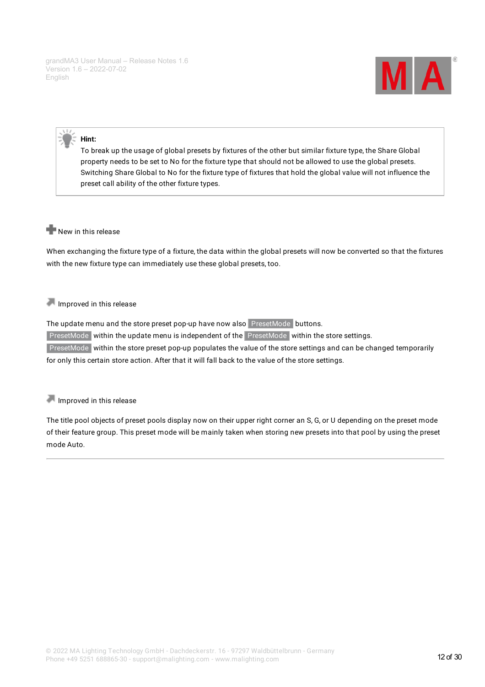

#### **Hint:**

To break up the usage of global presets by fixtures of the other but similar fixture type, the Share Global property needs to be set to No for the fixture type that should not be allowed to use the global presets. Switching Share Global to No for the fixture type of fixtures that hold the global value will not influence the preset call ability of the other fixture types.

### New in this release

When exchanging the fixture type of a fixture, the data within the global presets will now be converted so that the fixtures with the new fixture type can immediately use these global presets, too.

#### Improved in this release

The update menu and the store preset pop-up have now also PresetMode buttons. PresetMode within the update menu is independent of the PresetMode within the store settings. PresetMode within the store preset pop-up populates the value of the store settings and can be changed temporarily for only this certain store action. After that it will fall back to the value of the store settings.

Improved in this release

The title pool objects of preset pools display now on their upper right corner an S, G, or U depending on the preset mode of their feature group. This preset mode will be mainly taken when storing new presets into that pool by using the preset mode Auto.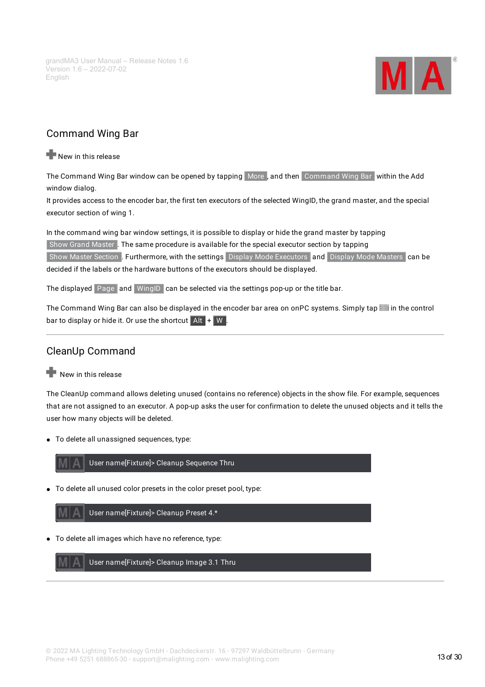

# <span id="page-12-0"></span>Command Wing Bar

New in this release

The Command Wing Bar window can be opened by tapping More, and then Command Wing Bar within the Add window dialog.

It provides access to the encoder bar, the first ten executors of the selected WingID, the grand master, and the special executor section of wing 1.

In the command wing bar window settings, it is possible to display or hide the grand master by tapping Show Grand Master . The same procedure is available for the special executor section by tapping Show Master Section . Furthermore, with the settings Display Mode Executors and Display Mode Masters can be decided if the labels or the hardware buttons of the executors should be displayed.

The displayed Page and WingID can be selected via the settings pop-up or the title bar.

The Command Wing Bar can also be displayed in the encoder bar area on onPC systems. Simply tap in the control bar to display or hide it. Or use the shortcut  $\overline{A}$  Alt  $\overline{B}$  +  $\overline{W}$ .

# <span id="page-12-1"></span>CleanUp Command

New in this release

The CleanUp command allows deleting unused (contains no reference) objects in the show file. For example, sequences that are not assigned to an executor. A pop-up asks the user for confirmation to delete the unused objects and it tells the user how many objects will be deleted.

To delete all unassigned sequences, type:



To delete all unused color presets in the color preset pool, type:

User name[Fixture]> Cleanup Preset 4.\*

To delete all images which have no reference, type:

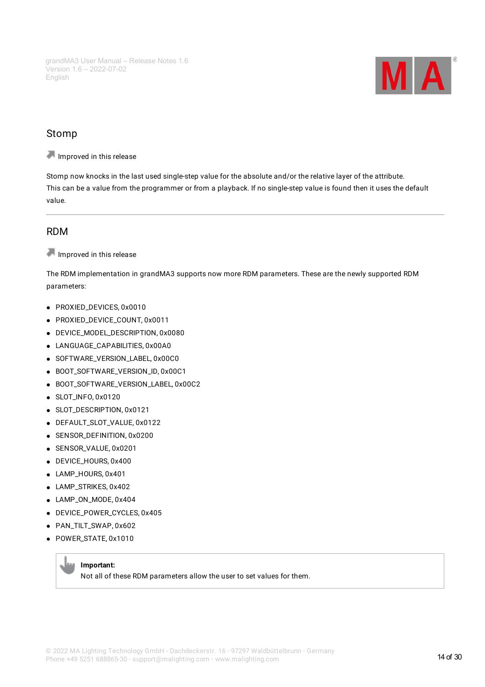

### <span id="page-13-0"></span>Stomp

Improved in this release

Stomp now knocks in the last used single-step value for the absolute and/or the relative layer of the attribute. This can be a value from the programmer or from a playback. If no single-step value is found then it uses the default value.

# <span id="page-13-1"></span>RDM

Improved in this release

The RDM implementation in grandMA3 supports now more RDM parameters. These are the newly supported RDM parameters:

- PROXIED\_DEVICES, 0x0010
- PROXIED\_DEVICE\_COUNT, 0x0011
- DEVICE\_MODEL\_DESCRIPTION, 0x0080
- LANGUAGE\_CAPABILITIES, 0x00A0
- SOFTWARE\_VERSION\_LABEL, 0x00C0
- BOOT\_SOFTWARE\_VERSION\_ID, 0x00C1
- BOOT\_SOFTWARE\_VERSION\_LABEL, 0x00C2
- SLOT\_INFO, 0x0120
- **SLOT\_DESCRIPTION, 0x0121**
- DEFAULT\_SLOT\_VALUE, 0x0122
- **SENSOR\_DEFINITION, 0x0200**
- SENSOR\_VALUE, 0x0201
- DEVICE\_HOURS, 0x400
- LAMP\_HOURS, 0x401
- LAMP\_STRIKES, 0x402
- LAMP\_ON\_MODE, 0x404
- DEVICE\_POWER\_CYCLES, 0x405
- PAN TILT SWAP, 0x602
- POWER STATE, 0x1010

#### **Important:**

Not all of these RDM parameters allow the user to set values for them.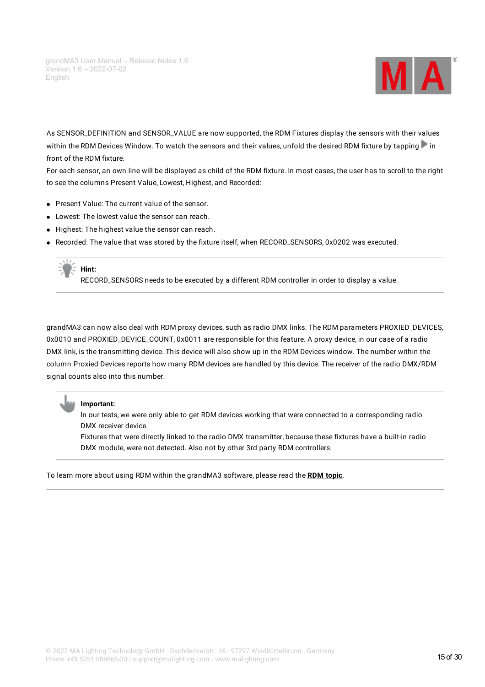

As SENSOR\_DEFINITION and SENSOR\_VALUE are now supported, the RDM Fixtures display the sensors with their values within the RDM Devices Window. To watch the sensors and their values, unfold the desired RDM fixture by tapping in front of the RDM fixture.

For each sensor, an own line will be displayed as child of the RDM fixture. In most cases, the user has to scroll to the right to see the columns Present Value, Lowest, Highest, and Recorded:

- Present Value: The current value of the sensor.
- Lowest: The lowest value the sensor can reach.
- $\bullet$  Highest: The highest value the sensor can reach.
- Recorded: The value that was stored by the fixture itself, when RECORD\_SENSORS, 0x0202 was executed.

# **Hint:**

RECORD\_SENSORS needs to be executed by a different RDM controller in order to display a value.

grandMA3 can now also deal with RDM proxy devices, such as radio DMX links. The RDM parameters PROXIED\_DEVICES, 0x0010 and PROXIED\_DEVICE\_COUNT, 0x0011 are responsible for this feature. A proxy device, in our case of a radio DMX link, is the transmitting device. This device will also show up in the RDM Devices window. The number within the column Proxied Devices reports how many RDM devices are handled by this device. The receiver of the radio DMX/RDM signal counts also into this number.

#### **Important:**

In our tests, we were only able to get RDM devices working that were connected to a corresponding radio DMX receiver device.

Fixtures that were directly linked to the radio DMX transmitter, because these fixtures have a built-in radio DMX module, were not detected. Also not by other 3rd party RDM controllers.

To learn more about using RDM within the grandMA3 software, please read the **RDM [topic](https://help2.malighting.com:443/Page/grandMA3/RDM/en/1.6)**.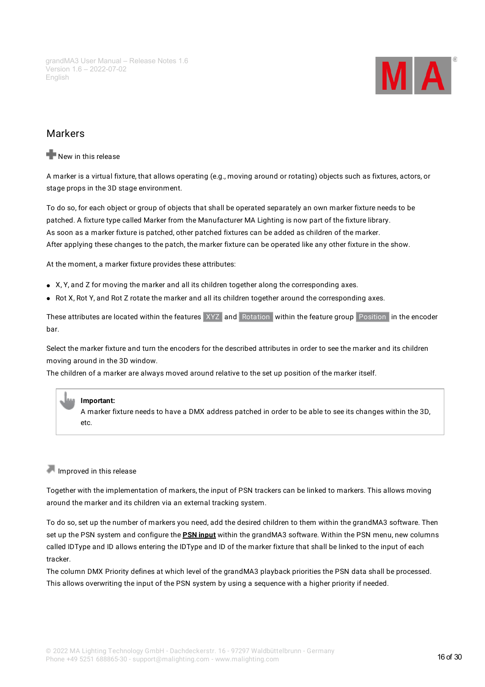

### <span id="page-15-0"></span>Markers

#### New in this release

A marker is a virtual fixture, that allows operating (e.g., moving around or rotating) objects such as fixtures, actors, or stage props in the 3D stage environment.

To do so, for each object or group of objects that shall be operated separately an own marker fixture needs to be patched. A fixture type called Marker from the Manufacturer MA Lighting is now part of the fixture library. As soon as a marker fixture is patched, other patched fixtures can be added as children of the marker. After applying these changes to the patch, the marker fixture can be operated like any other fixture in the show.

At the moment, a marker fixture provides these attributes:

- X, Y, and Z for moving the marker and all its children together along the corresponding axes.
- Rot X, Rot Y, and Rot Z rotate the marker and all its children together around the corresponding axes.

These attributes are located within the features XYZ and Rotation within the feature group Position in the encoder bar.

Select the marker fixture and turn the encoders for the described attributes in order to see the marker and its children moving around in the 3D window.

The children of a marker are always moved around relative to the set up position of the marker itself.

#### **Important:**

A marker fixture needs to have a DMX address patched in order to be able to see its changes within the 3D, etc.

#### Improved in this release

Together with the implementation of markers, the input of PSN trackers can be linked to markers. This allows moving around the marker and its children via an external tracking system.

To do so, set up the number of markers you need, add the desired children to them within the grandMA3 software. Then set up the PSN system and configure the **PSN [input](https://help2.malighting.com:443/Page/grandMA3/remote_inputs_psn/en/1.6)** within the grandMA3 software. Within the PSN menu, new columns called IDType and ID allows entering the IDType and ID of the marker fixture that shall be linked to the input of each tracker.

The column DMX Priority defines at which level of the grandMA3 playback priorities the PSN data shall be processed. This allows overwriting the input of the PSN system by using a sequence with a higher priority if needed.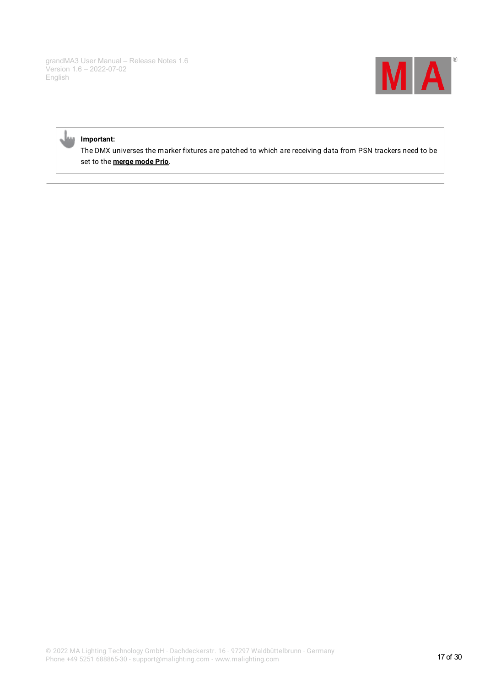

#### **Important:**

The DMX universes the marker fixtures are patched to which are receiving data from PSN trackers need to be set to the **[merge](https://help2.malighting.com:443/Page/grandMA3/patch_dmx_universe/en/1.6) mode Prio**.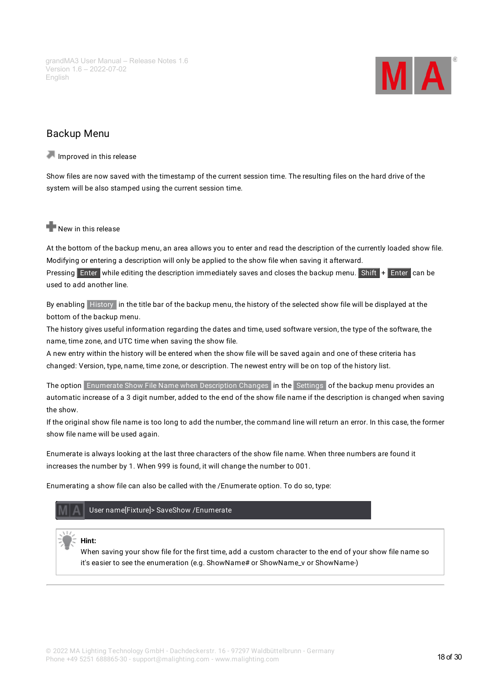

# <span id="page-17-0"></span>Backup Menu

Improved in this release

Show files are now saved with the timestamp of the current session time. The resulting files on the hard drive of the system will be also stamped using the current session time.

### New in this release

At the bottom of the backup menu, an area allows you to enter and read the description of the currently loaded show file. Modifying or entering a description will only be applied to the show file when saving it afterward.

Pressing Enter while editing the description immediately saves and closes the backup menu. Shift + Enter can be used to add another line.

By enabling History in the title bar of the backup menu, the history of the selected show file will be displayed at the bottom of the backup menu.

The history gives useful information regarding the dates and time, used software version, the type of the software, the name, time zone, and UTC time when saving the show file.

A new entry within the history will be entered when the show file will be saved again and one of these criteria has changed: Version, type, name, time zone, or description. The newest entry will be on top of the history list.

The option Enumerate Show File Name when Description Changes in the Settings of the backup menu provides an automatic increase of a 3 digit number, added to the end of the show file name if the description is changed when saving the show.

If the original show file name is too long to add the number, the command line will return an error. In this case, the former show file name will be used again.

Enumerate is always looking at the last three characters of the show file name. When three numbers are found it increases the number by 1. When 999 is found, it will change the number to 001.

Enumerating a show file can also be called with the /Enumerate option. To do so, type:



**Hint:**

When saving your show file for the first time, add a custom character to the end of your show file name so it's easier to see the enumeration (e.g. ShowName# or ShowName\_v or ShowName-)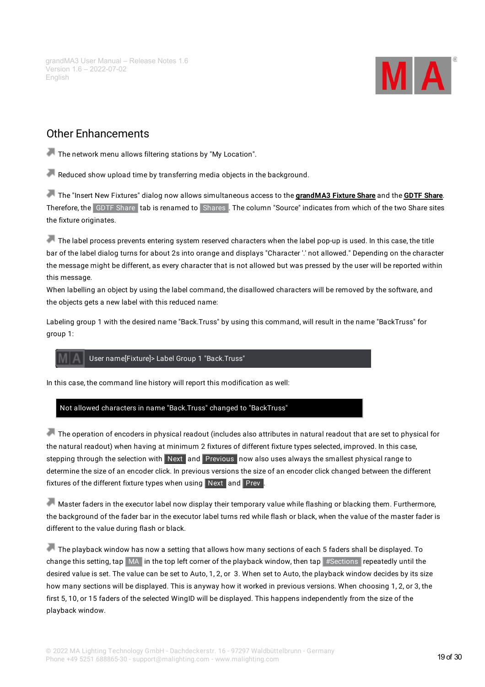

# <span id="page-18-0"></span>Other Enhancements

The network menu allows filtering stations by "My Location".

Reduced show upload time by transferring media objects in the background.

The "Insert New Fixtures" dialog now allows simultaneous access to the **[grandMA3](https://fixtureshare.malighting.com/login.php?page=home&v=gma3&) Fixture Share** and the **GDTF [Share](http://www.gdtf-share.com)**. Therefore, the GDTF Share tab is renamed to Shares . The column "Source" indicates from which of the two Share sites the fixture originates.

The label process prevents entering system reserved characters when the label pop-up is used. In this case, the title bar of the label dialog turns for about 2s into orange and displays "Character '.' not allowed." Depending on the character the message might be different, as every character that is not allowed but was pressed by the user will be reported within this message.

When labelling an object by using the label command, the disallowed characters will be removed by the software, and the objects gets a new label with this reduced name:

Labeling group 1 with the desired name "Back.Truss" by using this command, will result in the name "BackTruss" for group 1:

#### User name[Fixture]> Label Group 1 "Back.Truss"

In this case, the command line history will report this modification as well:

#### Not allowed characters in name "Back.Truss" changed to "BackTruss"

The operation of encoders in physical readout (includes also attributes in natural readout that are set to physical for the natural readout) when having at minimum 2 fixtures of different fixture types selected, improved. In this case, stepping through the selection with Next and Previous now also uses always the smallest physical range to determine the size of an encoder click. In previous versions the size of an encoder click changed between the different fixtures of the different fixture types when using Next and Prev.

Master faders in the executor label now display their temporary value while flashing or blacking them. Furthermore, the background of the fader bar in the executor label turns red while flash or black, when the value of the master fader is different to the value during flash or black.

The playback window has now a setting that allows how many sections of each 5 faders shall be displayed. To change this setting, tap  $\overline{M}$  in the top left corner of the playback window, then tap #Sections repeatedly until the desired value is set. The value can be set to Auto, 1, 2, or 3. When set to Auto, the playback window decides by its size how many sections will be displayed. This is anyway how it worked in previous versions. When choosing 1, 2, or 3, the first 5, 10, or 15 faders of the selected WingID will be displayed. This happens independently from the size of the playback window.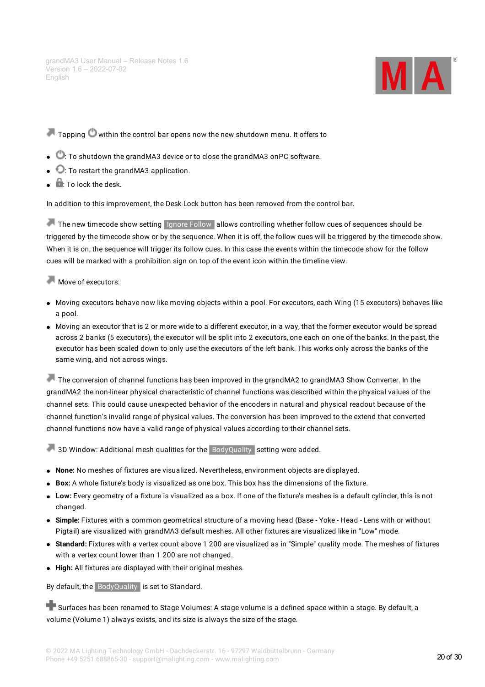

 $\blacksquare$  Tapping  $\blacksquare$  within the control bar opens now the new shutdown menu. It offers to

- : To shutdown the grandMA3 device or to close the grandMA3 onPC software.
- $\bullet$   $\bullet$  To restart the grandMA3 application.
- $\mathbf{r}$ : To lock the desk.

In addition to this improvement, the Desk Lock button has been removed from the control bar.

The new timecode show setting Ignore Follow allows controlling whether follow cues of sequences should be triggered by the timecode show or by the sequence. When it is off, the follow cues will be triggered by the timecode show. When it is on, the sequence will trigger its follow cues. In this case the events within the timecode show for the follow cues will be marked with a prohibition sign on top of the event icon within the timeline view.

Move of executors:

- Moving executors behave now like moving objects within a pool. For executors, each Wing (15 executors) behaves like a pool.
- Moving an executor that is 2 or more wide to a different executor, in a way, that the former executor would be spread across 2 banks (5 executors), the executor will be split into 2 executors, one each on one of the banks. In the past, the executor has been scaled down to only use the executors of the left bank. This works only across the banks of the same wing, and not across wings.

The conversion of channel functions has been improved in the grandMA2 to grandMA3 Show Converter. In the grandMA2 the non-linear physical characteristic of channel functions was described within the physical values of the channel sets. This could cause unexpected behavior of the encoders in natural and physical readout because of the channel function's invalid range of physical values. The conversion has been improved to the extend that converted channel functions now have a valid range of physical values according to their channel sets.

3D Window: Additional mesh qualities for the BodyQuality setting were added.

- **None:** No meshes of fixtures are visualized. Nevertheless, environment objects are displayed.
- **Box:** A whole fixture's body is visualized as one box. This box has the dimensions of the fixture.
- **Low:** Every geometry of a fixture is visualized as a box. If one of the fixture's meshes is a default cylinder, this is not changed.
- **Simple:** Fixtures with a common geometrical structure of a moving head (Base Yoke Head Lens with or without Pigtail) are visualized with grandMA3 default meshes. All other fixtures are visualized like in "Low" mode.
- **Standard:** Fixtures with a vertex count above 1 200 are visualized as in "Simple" quality mode. The meshes of fixtures with a vertex count lower than 1 200 are not changed.
- **High:** All fixtures are displayed with their original meshes.

By default, the BodyQuality is set to Standard.

**Surfaces has been renamed to Stage Volumes**: A stage volume is a defined space within a stage. By default, a volume (Volume 1) always exists, and its size is always the size of the stage.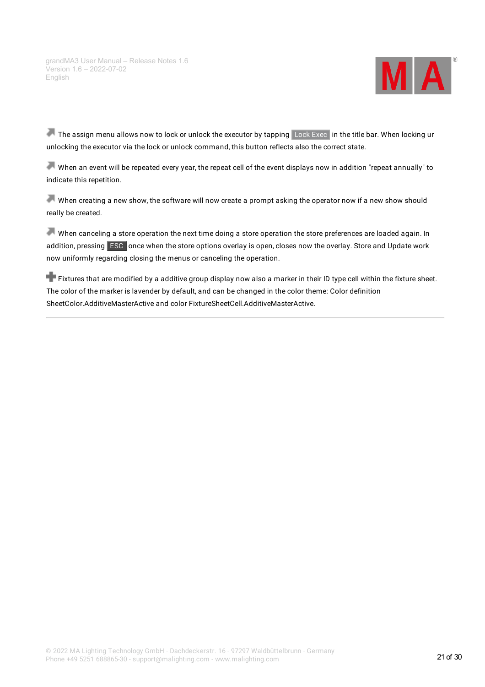

The assign menu allows now to lock or unlock the executor by tapping Lock Exec in the title bar. When locking ur unlocking the executor via the lock or unlock command, this button reflects also the correct state.

When an event will be repeated every year, the repeat cell of the event displays now in addition "repeat annually" to indicate this repetition.

When creating a new show, the software will now create a prompt asking the operator now if a new show should really be created.

When canceling a store operation the next time doing a store operation the store preferences are loaded again. In addition, pressing **ESC** once when the store options overlay is open, closes now the overlay. Store and Update work now uniformly regarding closing the menus or canceling the operation.

**Fixtures that are modified by a additive group display now also a marker in their ID type cell within the fixture sheet.** The color of the marker is lavender by default, and can be changed in the color theme: Color definition SheetColor.AdditiveMasterActive and color FixtureSheetCell.AdditiveMasterActive.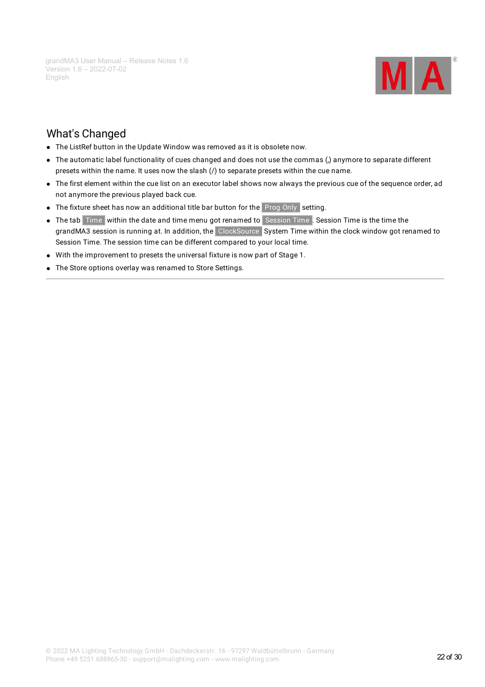

# <span id="page-21-0"></span>What's Changed

- The ListRef button in the Update Window was removed as it is obsolete now.
- The automatic label functionality of cues changed and does not use the commas (,) anymore to separate different presets within the name. It uses now the slash (/) to separate presets within the cue name.
- The first element within the cue list on an executor label shows now always the previous cue of the sequence order, ad not anymore the previous played back cue.
- The fixture sheet has now an additional title bar button for the Prog Only setting.
- The tab Time within the date and time menu got renamed to Session Time . Session Time is the time the grandMA3 session is running at. In addition, the ClockSource System Time within the clock window got renamed to Session Time. The session time can be different compared to your local time.
- With the improvement to presets the universal fixture is now part of Stage 1.
- The Store options overlay was renamed to Store Settings.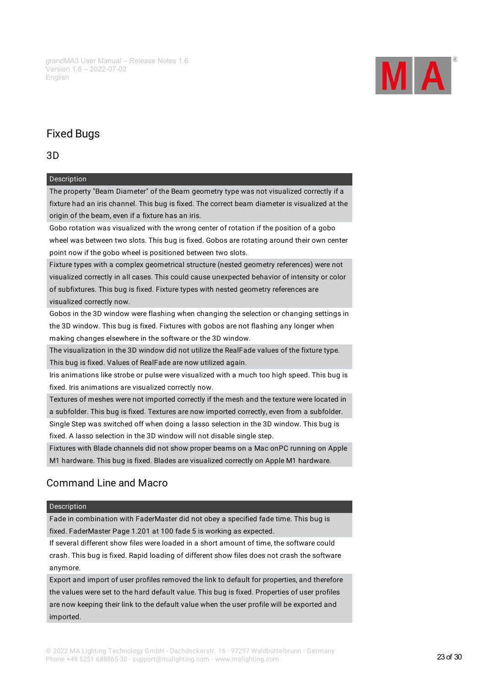

# <span id="page-22-0"></span>Fixed Bugs

#### 3D

#### Description

The property "Beam Diameter" of the Beam geometry type was not visualized correctly if a fixture had an iris channel. This bug is fixed. The correct beam diameter is visualized at the origin of the beam, even if a fixture has an iris.

Gobo rotation was visualized with the wrong center of rotation if the position of a gobo wheel was between two slots. This bug is fixed. Gobos are rotating around their own center point now if the gobo wheel is positioned between two slots.

Fixture types with a complex geometrical structure (nested geometry references) were not visualized correctly in all cases. This could cause unexpected behavior of intensity or color of subfixtures. This bug is fixed. Fixture types with nested geometry references are visualized correctly now.

Gobos in the 3D window were flashing when changing the selection or changing settings in the 3D window. This bug is fixed. Fixtures with gobos are not flashing any longer when making changes elsewhere in the software or the 3D window.

The visualization in the 3D window did not utilize the RealFade values of the fixture type. This bug is fixed. Values of RealFade are now utilized again.

Iris animations like strobe or pulse were visualized with a much too high speed. This bug is fixed. Iris animations are visualized correctly now.

Textures of meshes were not imported correctly if the mesh and the texture were located in a subfolder. This bug is fixed. Textures are now imported correctly, even from a subfolder.

Single Step was switched off when doing a lasso selection in the 3D window. This bug is fixed. A lasso selection in the 3D window will not disable single step.

Fixtures with Blade channels did not show proper beams on a Mac onPC running on Apple M1 hardware. This bug is fixed. Blades are visualized correctly on Apple M1 hardware.

# Command Line and Macro

#### Description

Fade in combination with FaderMaster did not obey a specified fade time. This bug is fixed. FaderMaster Page 1.201 at 100 fade 5 is working as expected.

If several different show files were loaded in a short amount of time, the software could crash. This bug is fixed. Rapid loading of different show files does not crash the software anymore.

Export and import of user profiles removed the link to default for properties, and therefore the values were set to the hard default value. This bug is fixed. Properties of user profiles are now keeping their link to the default value when the user profile will be exported and imported.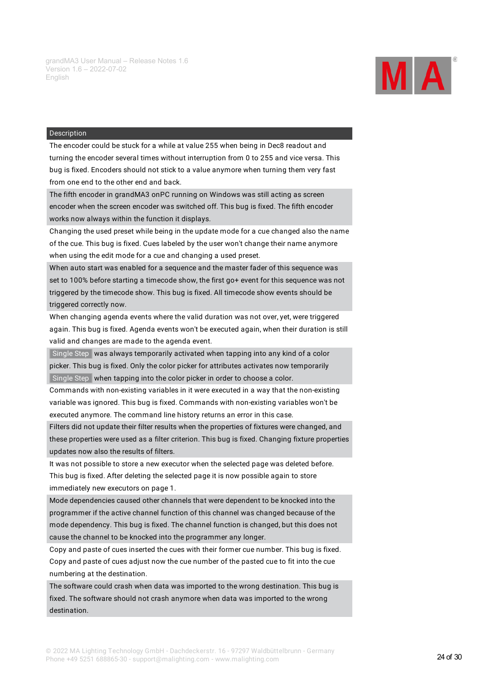

The encoder could be stuck for a while at value 255 when being in Dec8 readout and turning the encoder several times without interruption from 0 to 255 and vice versa. This bug is fixed. Encoders should not stick to a value anymore when turning them very fast from one end to the other end and back.

The fifth encoder in grandMA3 onPC running on Windows was still acting as screen encoder when the screen encoder was switched off. This bug is fixed. The fifth encoder works now always within the function it displays.

Changing the used preset while being in the update mode for a cue changed also the name of the cue. This bug is fixed. Cues labeled by the user won't change their name anymore when using the edit mode for a cue and changing a used preset.

When auto start was enabled for a sequence and the master fader of this sequence was set to 100% before starting a timecode show, the first go+ event for this sequence was not triggered by the timecode show. This bug is fixed. All timecode show events should be triggered correctly now.

When changing agenda events where the valid duration was not over, yet, were triggered again. This bug is fixed. Agenda events won't be executed again, when their duration is still valid and changes are made to the agenda event.

Single Step was always temporarily activated when tapping into any kind of a color picker. This bug is fixed. Only the color picker for attributes activates now temporarily Single Step when tapping into the color picker in order to choose a color.

Commands with non-existing variables in it were executed in a way that the non-existing variable was ignored. This bug is fixed. Commands with non-existing variables won't be executed anymore. The command line history returns an error in this case.

Filters did not update their filter results when the properties of fixtures were changed, and these properties were used as a filter criterion. This bug is fixed. Changing fixture properties updates now also the results of filters.

It was not possible to store a new executor when the selected page was deleted before. This bug is fixed. After deleting the selected page it is now possible again to store immediately new executors on page 1.

Mode dependencies caused other channels that were dependent to be knocked into the programmer if the active channel function of this channel was changed because of the mode dependency. This bug is fixed. The channel function is changed, but this does not cause the channel to be knocked into the programmer any longer.

Copy and paste of cues inserted the cues with their former cue number. This bug is fixed. Copy and paste of cues adjust now the cue number of the pasted cue to fit into the cue numbering at the destination.

The software could crash when data was imported to the wrong destination. This bug is fixed. The software should not crash anymore when data was imported to the wrong destination.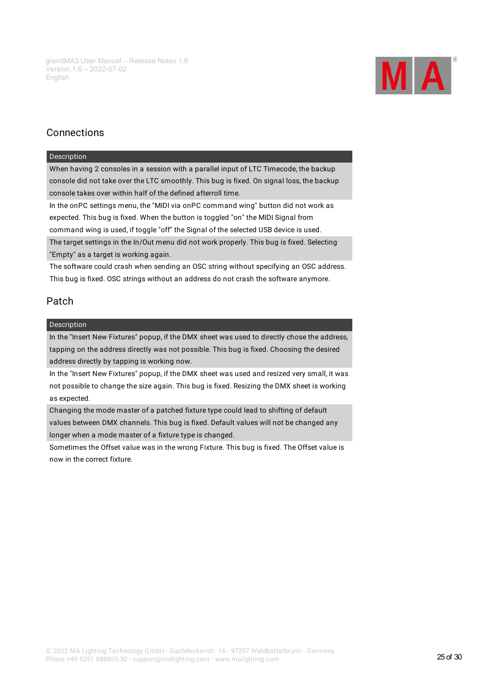

# Connections

#### Description

When having 2 consoles in a session with a parallel input of LTC Timecode, the backup console did not take over the LTC smoothly. This bug is fixed. On signal loss, the backup console takes over within half of the defined afterroll time.

In the onPC settings menu, the "MIDI via onPC command wing" button did not work as expected. This bug is fixed. When the button is toggled "on" the MIDI Signal from command wing is used, if toggle "off" the Signal of the selected USB device is used. The target settings in the In/Out menu did not work properly. This bug is fixed. Selecting "Empty" as a target is working again.

The software could crash when sending an OSC string without specifying an OSC address. This bug is fixed. OSC strings without an address do not crash the software anymore.

# Patch

#### Description

In the "Insert New Fixtures" popup, if the DMX sheet was used to directly chose the address, tapping on the address directly was not possible. This bug is fixed. Choosing the desired address directly by tapping is working now.

In the "Insert New Fixtures" popup, if the DMX sheet was used and resized very small, it was not possible to change the size again. This bug is fixed. Resizing the DMX sheet is working as expected.

Changing the mode master of a patched fixture type could lead to shifting of default values between DMX channels. This bug is fixed. Default values will not be changed any longer when a mode master of a fixture type is changed.

Sometimes the Offset value was in the wrong Fixture. This bug is fixed. The Offset value is now in the correct fixture.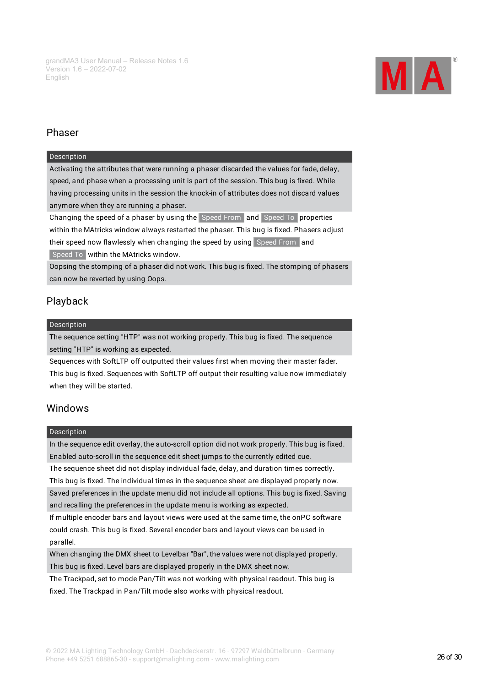

# Phaser

#### Description

Activating the attributes that were running a phaser discarded the values for fade, delay, speed, and phase when a processing unit is part of the session. This bug is fixed. While having processing units in the session the knock-in of attributes does not discard values anymore when they are running a phaser.

Changing the speed of a phaser by using the Speed From and Speed To properties within the MAtricks window always restarted the phaser. This bug is fixed. Phasers adjust their speed now flawlessly when changing the speed by using Speed From and Speed To within the MAtricks window.

Oopsing the stomping of a phaser did not work. This bug is fixed. The stomping of phasers can now be reverted by using Oops.

# Playback

#### Description

The sequence setting "HTP" was not working properly. This bug is fixed. The sequence setting "HTP" is working as expected.

Sequences with SoftLTP off outputted their values first when moving their master fader. This bug is fixed. Sequences with SoftLTP off output their resulting value now immediately when they will be started.

### Windows

#### Description

In the sequence edit overlay, the auto-scroll option did not work properly. This bug is fixed. Enabled auto-scroll in the sequence edit sheet jumps to the currently edited cue.

The sequence sheet did not display individual fade, delay, and duration times correctly. This bug is fixed. The individual times in the sequence sheet are displayed properly now. Saved preferences in the update menu did not include all options. This bug is fixed. Saving and recalling the preferences in the update menu is working as expected.

If multiple encoder bars and layout views were used at the same time, the onPC software could crash. This bug is fixed. Several encoder bars and layout views can be used in parallel.

When changing the DMX sheet to Levelbar "Bar", the values were not displayed properly. This bug is fixed. Level bars are displayed properly in the DMX sheet now.

The Trackpad, set to mode Pan/Tilt was not working with physical readout. This bug is fixed. The Trackpad in Pan/Tilt mode also works with physical readout.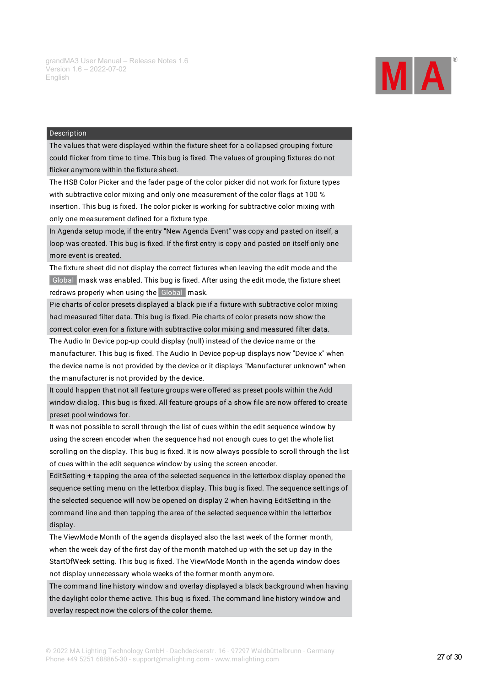

The values that were displayed within the fixture sheet for a collapsed grouping fixture could flicker from time to time. This bug is fixed. The values of grouping fixtures do not flicker anymore within the fixture sheet.

The HSB Color Picker and the fader page of the color picker did not work for fixture types with subtractive color mixing and only one measurement of the color flags at 100 % insertion. This bug is fixed. The color picker is working for subtractive color mixing with only one measurement defined for a fixture type.

In Agenda setup mode, if the entry "New Agenda Event" was copy and pasted on itself, a loop was created. This bug is fixed. If the first entry is copy and pasted on itself only one more event is created.

The fixture sheet did not display the correct fixtures when leaving the edit mode and the Global mask was enabled. This bug is fixed. After using the edit mode, the fixture sheet redraws properly when using the Global mask.

Pie charts of color presets displayed a black pie if a fixture with subtractive color mixing had measured filter data. This bug is fixed. Pie charts of color presets now show the correct color even for a fixture with subtractive color mixing and measured filter data.

The Audio In Device pop-up could display (null) instead of the device name or the manufacturer. This bug is fixed. The Audio In Device pop-up displays now "Device x" when the device name is not provided by the device or it displays "Manufacturer unknown" when the manufacturer is not provided by the device.

It could happen that not all feature groups were offered as preset pools within the Add window dialog. This bug is fixed. All feature groups of a show file are now offered to create preset pool windows for.

It was not possible to scroll through the list of cues within the edit sequence window by using the screen encoder when the sequence had not enough cues to get the whole list scrolling on the display. This bug is fixed. It is now always possible to scroll through the list of cues within the edit sequence window by using the screen encoder.

EditSetting + tapping the area of the selected sequence in the letterbox display opened the sequence setting menu on the letterbox display. This bug is fixed. The sequence settings of the selected sequence will now be opened on display 2 when having EditSetting in the command line and then tapping the area of the selected sequence within the letterbox display.

The ViewMode Month of the agenda displayed also the last week of the former month, when the week day of the first day of the month matched up with the set up day in the StartOfWeek setting. This bug is fixed. The ViewMode Month in the agenda window does not display unnecessary whole weeks of the former month anymore.

The command line history window and overlay displayed a black background when having the daylight color theme active. This bug is fixed. The command line history window and overlay respect now the colors of the color theme.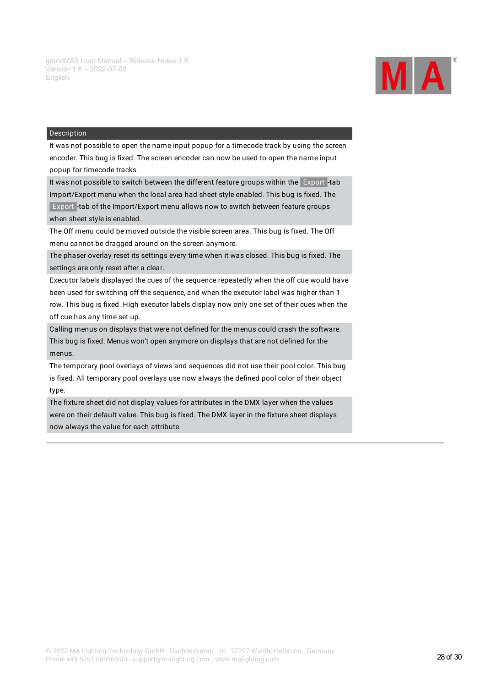

#### Description

It was not possible to open the name input popup for a timecode track by using the screen encoder. This bug is fixed. The screen encoder can now be used to open the name input popup for timecode tracks.

It was not possible to switch between the different feature groups within the Export -tab

Import/Export menu when the local area had sheet style enabled. This bug is fixed. The Export -tab of the Import/Export menu allows now to switch between feature groups when sheet style is enabled.

The Off menu could be moved outside the visible screen area. This bug is fixed. The Off menu cannot be dragged around on the screen anymore.

The phaser overlay reset its settings every time when it was closed. This bug is fixed. The settings are only reset after a clear.

Executor labels displayed the cues of the sequence repeatedly when the off cue would have been used for switching off the sequence, and when the executor label was higher than 1 row. This bug is fixed. High executor labels display now only one set of their cues when the off cue has any time set up.

Calling menus on displays that were not defined for the menus could crash the software. This bug is fixed. Menus won't open anymore on displays that are not defined for the menus.

The temporary pool overlays of views and sequences did not use their pool color. This bug is fixed. All temporary pool overlays use now always the defined pool color of their object type.

The fixture sheet did not display values for attributes in the DMX layer when the values were on their default value. This bug is fixed. The DMX layer in the fixture sheet displays now always the value for each attribute.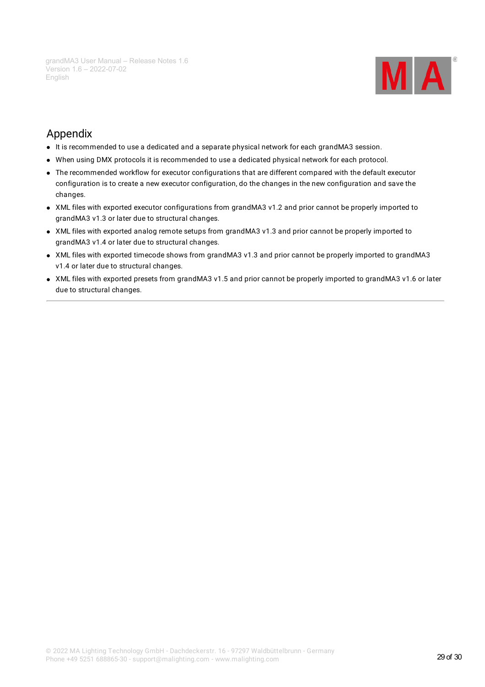

# <span id="page-28-0"></span>Appendix

- It is recommended to use a dedicated and a separate physical network for each grandMA3 session.
- When using DMX protocols it is recommended to use a dedicated physical network for each protocol.
- The recommended workflow for executor configurations that are different compared with the default executor configuration is to create a new executor configuration, do the changes in the new configuration and save the changes.
- XML files with exported executor configurations from grandMA3 v1.2 and prior cannot be properly imported to grandMA3 v1.3 or later due to structural changes.
- XML files with exported analog remote setups from grandMA3 v1.3 and prior cannot be properly imported to grandMA3 v1.4 or later due to structural changes.
- XML files with exported timecode shows from grandMA3 v1.3 and prior cannot be properly imported to grandMA3 v1.4 or later due to structural changes.
- XML files with exported presets from grandMA3 v1.5 and prior cannot be properly imported to grandMA3 v1.6 or later due to structural changes.